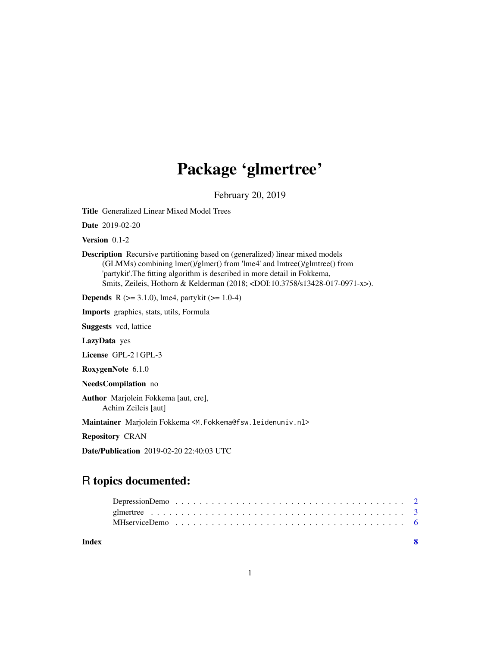## Package 'glmertree'

February 20, 2019

<span id="page-0-0"></span>Title Generalized Linear Mixed Model Trees

Date 2019-02-20

Version 0.1-2

Description Recursive partitioning based on (generalized) linear mixed models (GLMMs) combining lmer()/glmer() from 'lme4' and lmtree()/glmtree() from 'partykit'.The fitting algorithm is described in more detail in Fokkema, Smits, Zeileis, Hothorn & Kelderman (2018; <DOI:10.3758/s13428-017-0971-x>).

**Depends** R ( $>= 3.1.0$ ), lme4, partykit ( $>= 1.0-4$ )

Imports graphics, stats, utils, Formula

Suggests vcd, lattice

LazyData yes

License GPL-2 | GPL-3

RoxygenNote 6.1.0

NeedsCompilation no

Author Marjolein Fokkema [aut, cre], Achim Zeileis [aut]

Maintainer Marjolein Fokkema <M.Fokkema@fsw.leidenuniv.nl>

Repository CRAN

Date/Publication 2019-02-20 22:40:03 UTC

### R topics documented:

| Index |  |
|-------|--|
|       |  |
|       |  |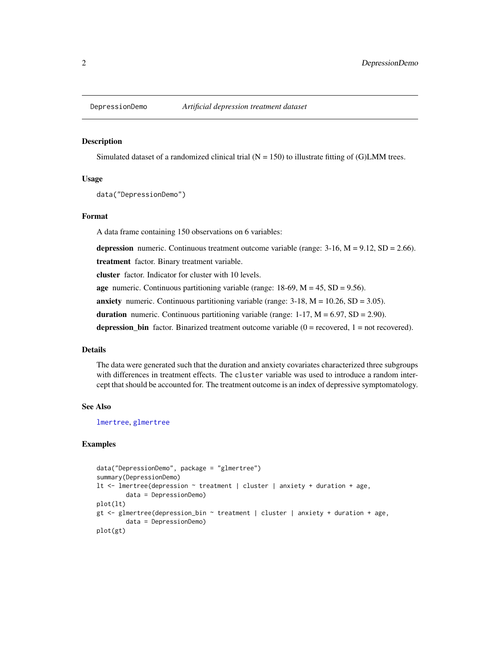<span id="page-1-0"></span>

#### Description

Simulated dataset of a randomized clinical trial  $(N = 150)$  to illustrate fitting of (G)LMM trees.

#### Usage

```
data("DepressionDemo")
```
#### Format

A data frame containing 150 observations on 6 variables:

depression numeric. Continuous treatment outcome variable (range:  $3\n-16$ ,  $M = 9.12$ ,  $SD = 2.66$ ).

treatment factor. Binary treatment variable.

cluster factor. Indicator for cluster with 10 levels.

age numeric. Continuous partitioning variable (range:  $18-69$ ,  $M = 45$ ,  $SD = 9.56$ ).

anxiety numeric. Continuous partitioning variable (range:  $3-18$ ,  $M = 10.26$ ,  $SD = 3.05$ ).

duration numeric. Continuous partitioning variable (range:  $1-17$ ,  $M = 6.97$ ,  $SD = 2.90$ ).

depression\_bin factor. Binarized treatment outcome variable  $(0 =$  recovered,  $1 =$  not recovered).

#### Details

The data were generated such that the duration and anxiety covariates characterized three subgroups with differences in treatment effects. The cluster variable was used to introduce a random intercept that should be accounted for. The treatment outcome is an index of depressive symptomatology.

#### See Also

[lmertree](#page-2-1), [glmertree](#page-2-2)

#### Examples

```
data("DepressionDemo", package = "glmertree")
summary(DepressionDemo)
lt <- lmertree(depression ~ treatment | cluster | anxiety + duration + age,
        data = DepressionDemo)
plot(lt)
gt \leq glmertree(depression_bin \sim treatment | cluster | anxiety + duration + age,
        data = DepressionDemo)
plot(gt)
```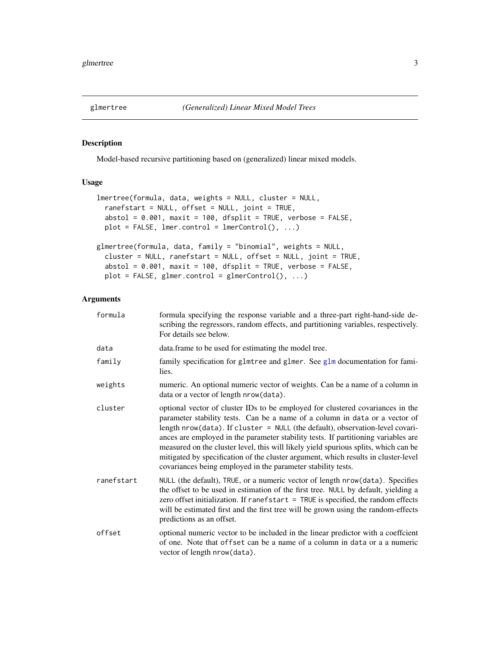<span id="page-2-2"></span><span id="page-2-0"></span>

#### <span id="page-2-1"></span>Description

Model-based recursive partitioning based on (generalized) linear mixed models.

#### Usage

```
lmertree(formula, data, weights = NULL, cluster = NULL,
  ranefstart = NULL, offset = NULL, joint = TRUE,
  abstol = 0.001, maxit = 100, dfsplit = TRUE, verbose = FALSE,
 plot = FALSE, lmer.control = lmerControl(), ...)glmertree(formula, data, family = "binomial", weights = NULL,
 cluster = NULL, ranefstart = NULL, offset = NULL, joint = TRUE,
 abstol = 0.001, maxit = 100, dfsplit = TRUE, verbose = FALSE,
 plot = FALSE, glmer.control = glmerControl(), \dots)
```
#### Arguments

| formula    | formula specifying the response variable and a three-part right-hand-side de-<br>scribing the regressors, random effects, and partitioning variables, respectively.<br>For details see below.                                                                                                                                                                                                                                                                                                                                                                                     |
|------------|-----------------------------------------------------------------------------------------------------------------------------------------------------------------------------------------------------------------------------------------------------------------------------------------------------------------------------------------------------------------------------------------------------------------------------------------------------------------------------------------------------------------------------------------------------------------------------------|
| data       | data. frame to be used for estimating the model tree.                                                                                                                                                                                                                                                                                                                                                                                                                                                                                                                             |
| family     | family specification for glmtree and glmer. See glm documentation for fami-<br>lies.                                                                                                                                                                                                                                                                                                                                                                                                                                                                                              |
| weights    | numeric. An optional numeric vector of weights. Can be a name of a column in<br>data or a vector of length nrow(data).                                                                                                                                                                                                                                                                                                                                                                                                                                                            |
| cluster    | optional vector of cluster IDs to be employed for clustered covariances in the<br>parameter stability tests. Can be a name of a column in data or a vector of<br>length nrow(data). If cluster = NULL (the default), observation-level covari-<br>ances are employed in the parameter stability tests. If partitioning variables are<br>measured on the cluster level, this will likely yield spurious splits, which can be<br>mitigated by specification of the cluster argument, which results in cluster-level<br>covariances being employed in the parameter stability tests. |
| ranefstart | NULL (the default), TRUE, or a numeric vector of length nrow(data). Specifies<br>the offset to be used in estimation of the first tree. NULL by default, yielding a<br>zero offset initialization. If ranefstart $=$ TRUE is specified, the random effects<br>will be estimated first and the first tree will be grown using the random-effects<br>predictions as an offset.                                                                                                                                                                                                      |
| offset     | optional numeric vector to be included in the linear predictor with a coeffcient<br>of one. Note that offset can be a name of a column in data or a a numeric<br>vector of length nrow(data).                                                                                                                                                                                                                                                                                                                                                                                     |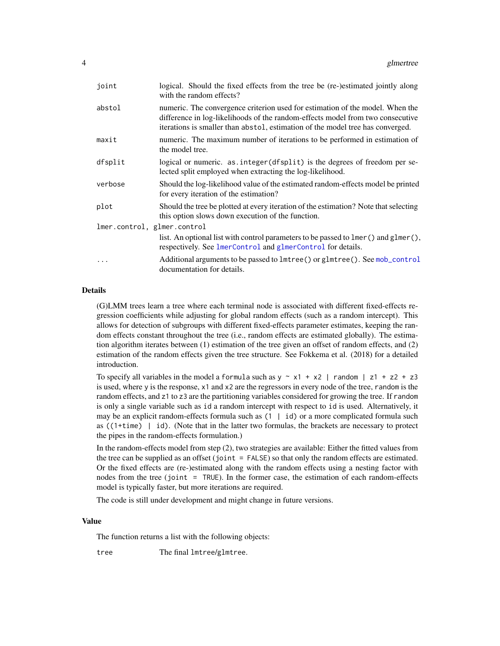<span id="page-3-0"></span>

| joint                       | logical. Should the fixed effects from the tree be (re-)estimated jointly along<br>with the random effects?                                                                                                                                       |
|-----------------------------|---------------------------------------------------------------------------------------------------------------------------------------------------------------------------------------------------------------------------------------------------|
| abstol                      | numeric. The convergence criterion used for estimation of the model. When the<br>difference in log-likelihoods of the random-effects model from two consecutive<br>iterations is smaller than abstol, estimation of the model tree has converged. |
| maxit                       | numeric. The maximum number of iterations to be performed in estimation of<br>the model tree.                                                                                                                                                     |
| dfsplit                     | logical or numeric. as.integer(dfsplit) is the degrees of freedom per se-<br>lected split employed when extracting the log-likelihood.                                                                                                            |
| verbose                     | Should the log-likelihood value of the estimated random-effects model be printed<br>for every iteration of the estimation?                                                                                                                        |
| plot                        | Should the tree be plotted at every iteration of the estimation? Note that selecting<br>this option slows down execution of the function.                                                                                                         |
| lmer.control, glmer.control |                                                                                                                                                                                                                                                   |
|                             | list. An optional list with control parameters to be passed to lmer() and glmer(),<br>respectively. See lmerControl and glmerControl for details.                                                                                                 |
|                             | Additional arguments to be passed to $1$ mtree() or g $1$ mtree(). See mob_control<br>documentation for details.                                                                                                                                  |

#### Details

(G)LMM trees learn a tree where each terminal node is associated with different fixed-effects regression coefficients while adjusting for global random effects (such as a random intercept). This allows for detection of subgroups with different fixed-effects parameter estimates, keeping the random effects constant throughout the tree (i.e., random effects are estimated globally). The estimation algorithm iterates between (1) estimation of the tree given an offset of random effects, and (2) estimation of the random effects given the tree structure. See Fokkema et al. (2018) for a detailed introduction.

To specify all variables in the model a formula such as  $y \sim x1 + x2$  | random | z1 + z2 + z3 is used, where y is the response, x1 and x2 are the regressors in every node of the tree, random is the random effects, and z1 to z3 are the partitioning variables considered for growing the tree. If random is only a single variable such as id a random intercept with respect to id is used. Alternatively, it may be an explicit random-effects formula such as  $(1 \mid id)$  or a more complicated formula such as ((1+time) | id). (Note that in the latter two formulas, the brackets are necessary to protect the pipes in the random-effects formulation.)

In the random-effects model from step (2), two strategies are available: Either the fitted values from the tree can be supplied as an offset (joint = FALSE) so that only the random effects are estimated. Or the fixed effects are (re-)estimated along with the random effects using a nesting factor with nodes from the tree (joint = TRUE). In the former case, the estimation of each random-effects model is typically faster, but more iterations are required.

The code is still under development and might change in future versions.

#### Value

The function returns a list with the following objects:

tree The final lmtree/glmtree.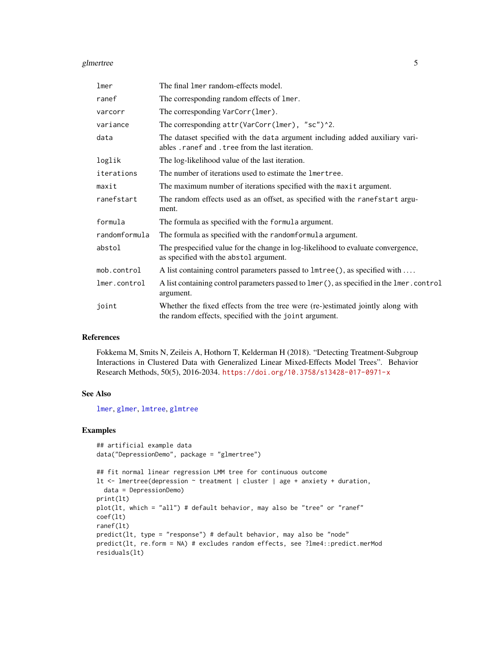#### <span id="page-4-0"></span>glmertree 5

| lmer          | The final lmer random-effects model.                                                                                                     |
|---------------|------------------------------------------------------------------------------------------------------------------------------------------|
| ranef         | The corresponding random effects of lmer.                                                                                                |
| varcorr       | The corresponding VarCorr(lmer).                                                                                                         |
| variance      | The corresponding $attr(VarCorr(1mer), "sc")^2$ .                                                                                        |
| data          | The dataset specified with the data argument including added auxiliary vari-<br>ables . ranef and . tree from the last iteration.        |
| loglik        | The log-likelihood value of the last iteration.                                                                                          |
| iterations    | The number of iterations used to estimate the lmertree.                                                                                  |
| maxit         | The maximum number of iterations specified with the maxit argument.                                                                      |
| ranefstart    | The random effects used as an offset, as specified with the ranefstart argu-<br>ment.                                                    |
| formula       | The formula as specified with the formula argument.                                                                                      |
| randomformula | The formula as specified with the randomformula argument.                                                                                |
| abstol        | The prespecified value for the change in log-likelihood to evaluate convergence,<br>as specified with the abstol argument.               |
| mob.control   | A list containing control parameters passed to $1$ mtree(), as specified with                                                            |
| lmer.control  | A list containing control parameters passed to lmer (), as specified in the lmer. control<br>argument.                                   |
| joint         | Whether the fixed effects from the tree were (re-)estimated jointly along with<br>the random effects, specified with the joint argument. |

#### References

Fokkema M, Smits N, Zeileis A, Hothorn T, Kelderman H (2018). "Detecting Treatment-Subgroup Interactions in Clustered Data with Generalized Linear Mixed-Effects Model Trees". Behavior Research Methods, 50(5), 2016-2034. <https://doi.org/10.3758/s13428-017-0971-x>

#### See Also

[lmer](#page-0-0), [glmer](#page-0-0), [lmtree](#page-0-0), [glmtree](#page-0-0)

#### Examples

```
## artificial example data
data("DepressionDemo", package = "glmertree")
```

```
## fit normal linear regression LMM tree for continuous outcome
lt <- lmertree(depression ~ treatment | cluster | age + anxiety + duration,
  data = DepressionDemo)
print(lt)
plot(lt, which = "all") # default behavior, may also be "tree" or "ranef"
coef(lt)
ranef(lt)
predict(lt, type = "response") # default behavior, may also be "node"
predict(lt, re.form = NA) # excludes random effects, see ?lme4::predict.merMod
residuals(lt)
```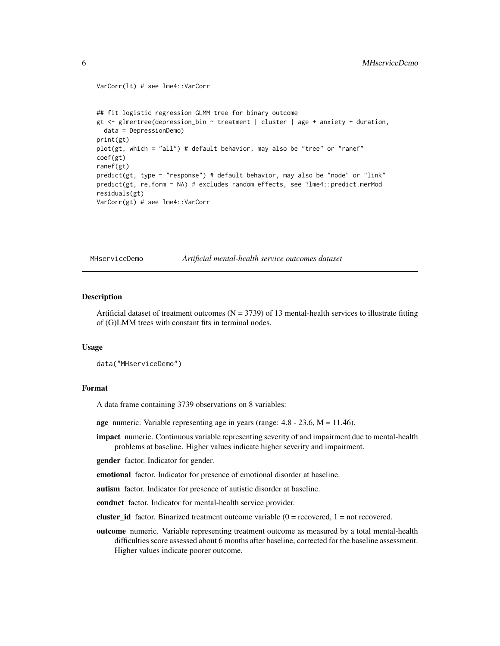```
VarCorr(lt) # see lme4::VarCorr
## fit logistic regression GLMM tree for binary outcome
gt <- glmertree(depression_bin ~ treatment | cluster | age + anxiety + duration,
 data = DepressionDemo)
print(gt)
plot(gt, which = "all") # default behavior, may also be "tree" or "ranef"
coef(gt)
ranef(gt)
predict(gt, type = "response") # default behavior, may also be "node" or "link"
predict(gt, re.form = NA) # excludes random effects, see ?lme4::predict.merMod
residuals(gt)
VarCorr(gt) # see lme4::VarCorr
```
MHserviceDemo *Artificial mental-health service outcomes dataset*

#### Description

Artificial dataset of treatment outcomes ( $N = 3739$ ) of 13 mental-health services to illustrate fitting of (G)LMM trees with constant fits in terminal nodes.

#### Usage

```
data("MHserviceDemo")
```
#### Format

A data frame containing 3739 observations on 8 variables:

age numeric. Variable representing age in years (range:  $4.8 - 23.6$ ,  $M = 11.46$ ).

**impact** numeric. Continuous variable representing severity of and impairment due to mental-health problems at baseline. Higher values indicate higher severity and impairment.

gender factor. Indicator for gender.

emotional factor. Indicator for presence of emotional disorder at baseline.

autism factor. Indicator for presence of autistic disorder at baseline.

conduct factor. Indicator for mental-health service provider.

cluster id factor. Binarized treatment outcome variable  $(0 =$  recovered,  $1 =$  not recovered.

outcome numeric. Variable representing treatment outcome as measured by a total mental-health difficulties score assessed about 6 months after baseline, corrected for the baseline assessment. Higher values indicate poorer outcome.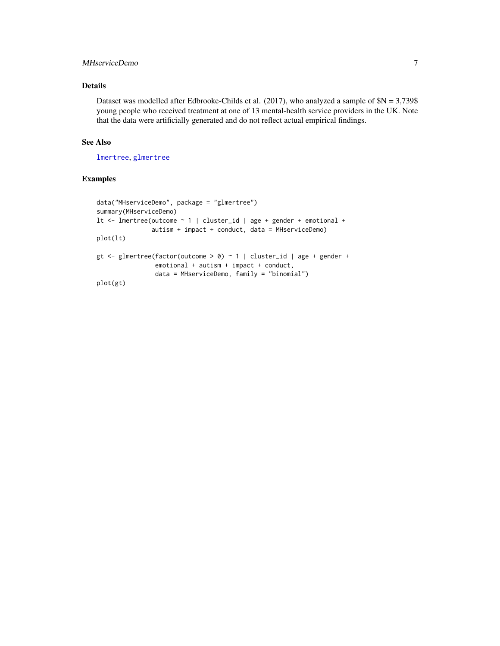#### <span id="page-6-0"></span>MHserviceDemo 7

#### Details

Dataset was modelled after Edbrooke-Childs et al. (2017), who analyzed a sample of  $N = 3,739$ \$ young people who received treatment at one of 13 mental-health service providers in the UK. Note that the data were artificially generated and do not reflect actual empirical findings.

#### See Also

[lmertree](#page-2-1), [glmertree](#page-2-2)

#### Examples

```
data("MHserviceDemo", package = "glmertree")
summary(MHserviceDemo)
lt <- lmertree(outcome ~ 1 | cluster_id | age + gender + emotional +
               autism + impact + conduct, data = MHserviceDemo)
plot(lt)
gt <- glmertree(factor(outcome > 0) ~ 1 | cluster_id | age + gender +
                emotional + autism + impact + conduct,
                data = MHserviceDemo, family = "binomial")
plot(gt)
```